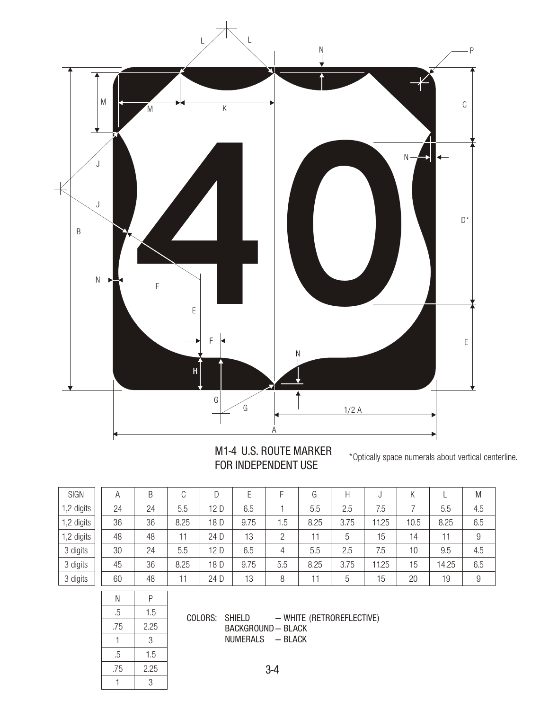

## M1-4 U.S. ROUTE MARKER FOR INDEPENDENT USE

\*Optically space numerals about vertical centerline.

| <b>SIGN</b> | А  | B  | C    | D    | Ε    | F              | G    | Н    |       | Κ    |       | M              |
|-------------|----|----|------|------|------|----------------|------|------|-------|------|-------|----------------|
| 1,2 digits  | 24 | 24 | 5.5  | 12 D | 6.5  |                | 5.5  | 2.5  | 7.5   |      | 5.5   | 4.5            |
| 1,2 digits  | 36 | 36 | 8.25 | 18 D | 9.75 | 1.5            | 8.25 | 3.75 | 11.25 | 10.5 | 8.25  | 6.5            |
| 1,2 digits  | 48 | 48 | 11   | 24 D | 13   | $\overline{2}$ | 11   | 5    | 15    | 14   | 11    | $\overline{9}$ |
| 3 digits    | 30 | 24 | 5.5  | 12 D | 6.5  | 4              | 5.5  | 2.5  | 7.5   | 10   | 9.5   | 4.5            |
| 3 digits    | 45 | 36 | 8.25 | 18 D | 9.75 | 5.5            | 8.25 | 3.75 | 11.25 | 15   | 14.25 | 6.5            |
| 3 digits    | 60 | 48 | 11   | 24 D | 13   | 8              | 11   | 5    | 15    | 20   | 19    | $\overline{9}$ |
|             |    |    |      |      |      |                |      |      |       |      |       |                |

| Ν   | Ρ    |
|-----|------|
| .5  | 1.5  |
| .75 | 2.25 |
| 1   | 3    |
| .5  | 1.5  |
| .75 | 2.25 |
|     | 3    |
|     |      |

COLORS: SHIELD — WHITE (RETROREFLECTIVE) BACKGROUND — BLACK NUMERALS — BLACK